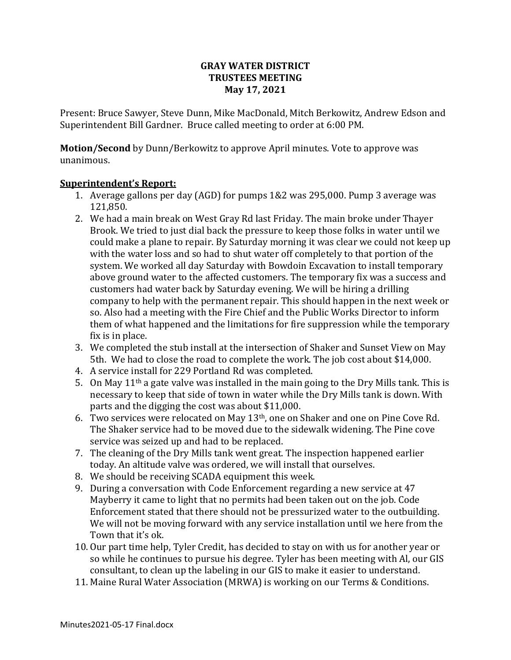### **GRAY WATER DISTRICT TRUSTEES MEETING May 17, 2021**

Present: Bruce Sawyer, Steve Dunn, Mike MacDonald, Mitch Berkowitz, Andrew Edson and Superintendent Bill Gardner. Bruce called meeting to order at 6:00 PM.

**Motion/Second** by Dunn/Berkowitz to approve April minutes. Vote to approve was unanimous.

### **Superintendent's Report:**

- 1. Average gallons per day (AGD) for pumps 1&2 was 295,000. Pump 3 average was 121,850.
- 2. We had a main break on West Gray Rd last Friday. The main broke under Thayer Brook. We tried to just dial back the pressure to keep those folks in water until we could make a plane to repair. By Saturday morning it was clear we could not keep up with the water loss and so had to shut water off completely to that portion of the system. We worked all day Saturday with Bowdoin Excavation to install temporary above ground water to the affected customers. The temporary fix was a success and customers had water back by Saturday evening. We will be hiring a drilling company to help with the permanent repair. This should happen in the next week or so. Also had a meeting with the Fire Chief and the Public Works Director to inform them of what happened and the limitations for fire suppression while the temporary fix is in place.
- 3. We completed the stub install at the intersection of Shaker and Sunset View on May 5th. We had to close the road to complete the work. The job cost about \$14,000.
- 4. A service install for 229 Portland Rd was completed.
- 5. On May  $11<sup>th</sup>$  a gate valve was installed in the main going to the Dry Mills tank. This is necessary to keep that side of town in water while the Dry Mills tank is down. With parts and the digging the cost was about \$11,000.
- 6. Two services were relocated on May 13th, one on Shaker and one on Pine Cove Rd. The Shaker service had to be moved due to the sidewalk widening. The Pine cove service was seized up and had to be replaced.
- 7. The cleaning of the Dry Mills tank went great. The inspection happened earlier today. An altitude valve was ordered, we will install that ourselves.
- 8. We should be receiving SCADA equipment this week.
- 9. During a conversation with Code Enforcement regarding a new service at 47 Mayberry it came to light that no permits had been taken out on the job. Code Enforcement stated that there should not be pressurized water to the outbuilding. We will not be moving forward with any service installation until we here from the Town that it's ok.
- 10. Our part time help, Tyler Credit, has decided to stay on with us for another year or so while he continues to pursue his degree. Tyler has been meeting with Al, our GIS consultant, to clean up the labeling in our GIS to make it easier to understand.
- 11. Maine Rural Water Association (MRWA) is working on our Terms & Conditions.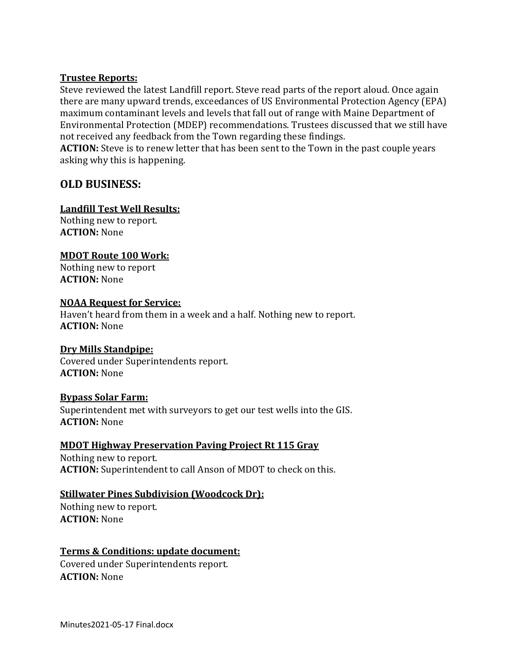### **Trustee Reports:**

Steve reviewed the latest Landfill report. Steve read parts of the report aloud. Once again there are many upward trends, exceedances of US Environmental Protection Agency (EPA) maximum contaminant levels and levels that fall out of range with Maine Department of Environmental Protection (MDEP) recommendations. Trustees discussed that we still have not received any feedback from the Town regarding these findings.

**ACTION:** Steve is to renew letter that has been sent to the Town in the past couple years asking why this is happening.

# **OLD BUSINESS:**

### **Landfill Test Well Results:**

Nothing new to report. **ACTION:** None

## **MDOT Route 100 Work:**

Nothing new to report **ACTION:** None

#### **NOAA Request for Service:**

Haven't heard from them in a week and a half. Nothing new to report. **ACTION:** None

### **Dry Mills Standpipe:**

Covered under Superintendents report. **ACTION:** None

### **Bypass Solar Farm:**

Superintendent met with surveyors to get our test wells into the GIS. **ACTION:** None

### **MDOT Highway Preservation Paving Project Rt 115 Gray**

Nothing new to report. **ACTION:** Superintendent to call Anson of MDOT to check on this.

### **Stillwater Pines Subdivision (Woodcock Dr):**

Nothing new to report. **ACTION:** None

### **Terms & Conditions: update document:**

Covered under Superintendents report. **ACTION:** None